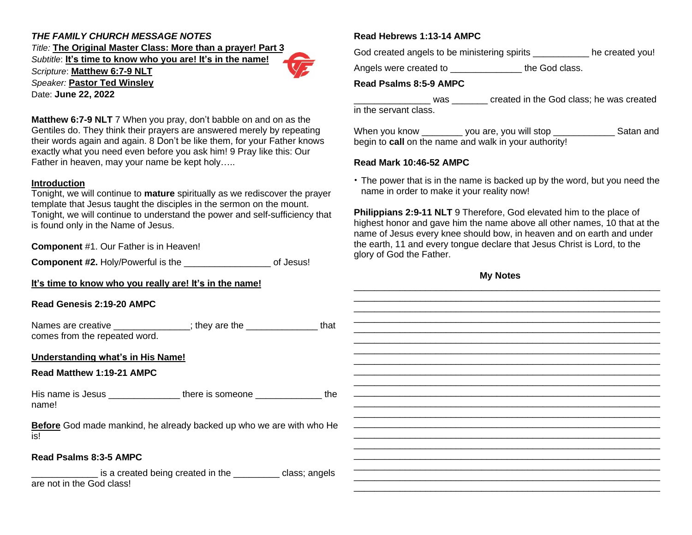# *THE FAMILY CHURCH MESSAGE NOTES*

*Title:* **The Original Master Class: More than a prayer! Part 3** *Subtitle*: **It's time to know who you are! It's in the name!**

*Scripture*: **Matthew 6:7-9 NLT** *Speaker:* **Pastor Ted Winsley**

Date: **June 22, 2022**

**Matthew 6:7-9 NLT** 7 When you pray, don't babble on and on as the Gentiles do. They think their prayers are answered merely by repeating their words again and again. 8 Don't be like them, for your Father knows exactly what you need even before you ask him! 9 Pray like this: Our Father in heaven, may your name be kept holy…..

#### **Introduction**

Tonight, we will continue to **mature** spiritually as we rediscover the prayer template that Jesus taught the disciples in the sermon on the mount. Tonight, we will continue to understand the power and self-sufficiency that is found only in the Name of Jesus.

**Component** #1. Our Father is in Heaven!

**Component #2.** Holy/Powerful is the \_\_\_\_\_\_\_\_\_\_\_\_\_\_\_\_\_ of Jesus!

**It's time to know who you really are! It's in the name!**

## **Read Genesis 2:19-20**

| Names are creative            | ; they are the | that |
|-------------------------------|----------------|------|
| comes from the repeated word. |                |      |

## **Understanding what's**

#### **Read Matthew 1:19-21**

His name is Jesus name!

**Before** God made mank is!

#### $Read$  **Psalms** 8:3-5 AM

\_\_\_\_\_\_\_\_\_\_\_\_\_ is a created being created in the \_\_\_\_\_\_\_\_\_ class; angels are not in the God class!

## **Read Hebrews 1:13-14 AMPC**

God created angels to be ministering spirits \_\_\_\_\_\_\_\_\_\_\_ he created you!

Angels were created to \_\_\_\_\_\_\_\_\_\_\_\_\_\_\_\_\_ the God class.

#### **Read Psalms 8:5-9 AMPC**

\_\_\_\_\_\_\_\_\_\_\_\_\_\_\_ was \_\_\_\_\_\_\_ created in the God class; he was created in the servant class.

When you know \_\_\_\_\_\_\_\_ you are, you will stop \_\_\_\_\_\_\_\_\_\_\_\_\_\_ Satan and begin to **call** on the name and walk in your authority!

#### **Read Mark 10:46-52 AMPC**

• The power that is in the name is backed up by the word, but you need the name in order to make it your reality now!

**Philippians 2:9-11 NLT** 9 Therefore, God elevated him to the place of highest honor and gave him the name above all other names, 10 that at the name of Jesus every knee should bow, in heaven and on earth and under the earth, 11 and every tongue declare that Jesus Christ is Lord, to the glory of God the Father.

**My Notes**

| you really are! It's in the name!                               |  |
|-----------------------------------------------------------------|--|
| <b>AMPC</b>                                                     |  |
| _____________; they are the ____________________that<br>d word. |  |
| in His Name!                                                    |  |
| <b>AMPC</b>                                                     |  |
| there is someone ______________________the                      |  |
| kind, he already backed up who we are with who He               |  |
| IPC                                                             |  |
| eated being created in the _________ class; angels              |  |
|                                                                 |  |